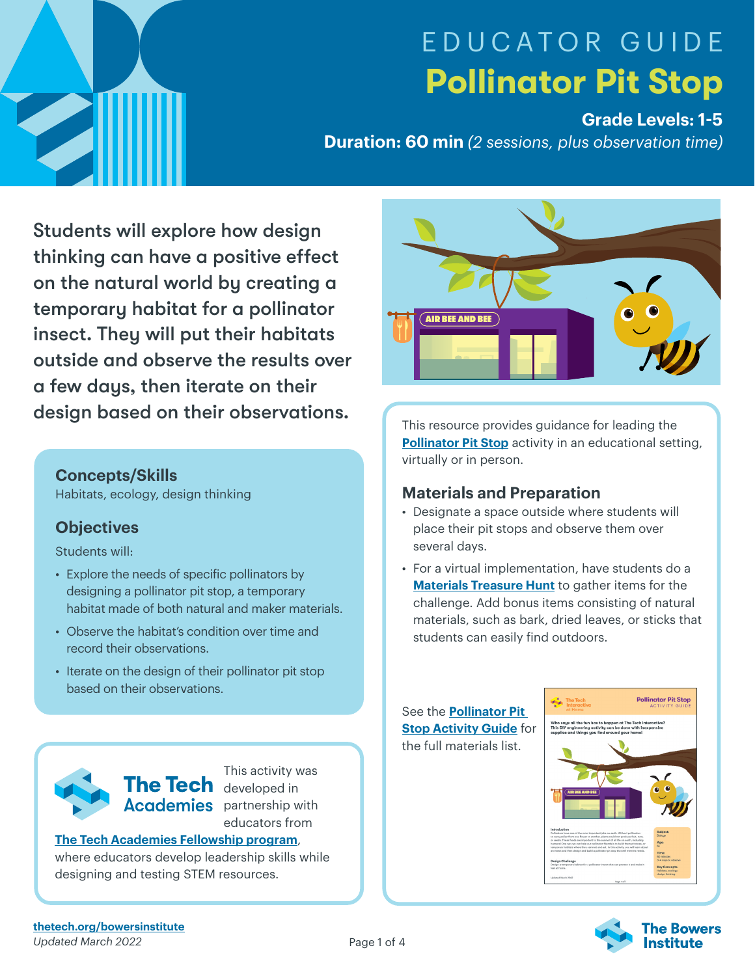

# EDUCATOR GUIDE **Pollinator Pit Stop**

## **Grade Levels: 1-5**

**Duration: 60 min** *(2 sessions, plus observation time)*

Students will explore how design thinking can have a positive effect on the natural world by creating a temporary habitat for a pollinator insect. They will put their habitats outside and observe the results over a few days, then iterate on their design based on their observations.

#### **Concepts/Skills**

Habitats, ecology, design thinking

## **Objectives**

Students will:

- Explore the needs of specific pollinators by designing a pollinator pit stop, a temporary habitat made of both natural and maker materials.
- Observe the habitat's condition over time and record their observations.
- Iterate on the design of their pollinator pit stop based on their observations.



This activity was The Tech developed in **Academies** partnership with educators from

#### **[The Tech Academies Fellowship program](https://www.thetech.org/TechAcademies)**,

where educators develop leadership skills while designing and testing STEM resources.



This resource provides guidance for leading the **[Pollinator Pit Stop](http://thetechathome.org/pollinatorpitstop)** activity in an educational setting, virtually or in person.

## **Materials and Preparation**

- Designate a space outside where students will place their pit stops and observe them over several days.
- For a virtual implementation, have students do a **[Materials Treasure Hunt](https://www.thetechathome.org/materialshunt)** to gather items for the challenge. Add bonus items consisting of natural materials, such as bark, dried leaves, or sticks that students can easily find outdoors.

See the **Pollinator Pit Stop [Activity](https://www.thetech.org/sites/default/files/ttiah-pollinatorpitstop.pdf) Guide** for the full materials list.



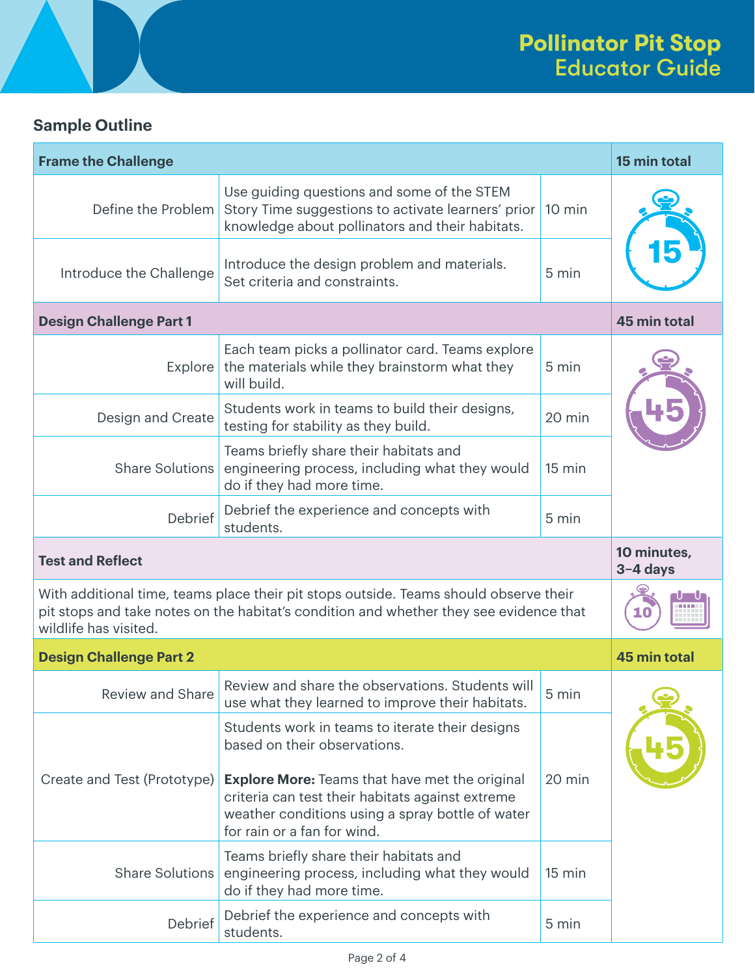# **Sample Outline**

| <b>Frame the Challenge</b>                                                                                                                                                                               | 15 min total                                                                                                                                                                                                                                                                    |                         |  |  |
|----------------------------------------------------------------------------------------------------------------------------------------------------------------------------------------------------------|---------------------------------------------------------------------------------------------------------------------------------------------------------------------------------------------------------------------------------------------------------------------------------|-------------------------|--|--|
| Define the Problem                                                                                                                                                                                       | Use guiding questions and some of the STEM<br>Story Time suggestions to activate learners' prior<br>knowledge about pollinators and their habitats.                                                                                                                             | 10 min                  |  |  |
| Introduce the Challenge                                                                                                                                                                                  | Introduce the design problem and materials.<br>Set criteria and constraints.                                                                                                                                                                                                    | 5 min                   |  |  |
| <b>Design Challenge Part 1</b>                                                                                                                                                                           | 45 min total                                                                                                                                                                                                                                                                    |                         |  |  |
| Explore                                                                                                                                                                                                  | Each team picks a pollinator card. Teams explore<br>the materials while they brainstorm what they<br>will build.                                                                                                                                                                | 5 min                   |  |  |
| Design and Create                                                                                                                                                                                        | Students work in teams to build their designs,<br>testing for stability as they build.                                                                                                                                                                                          | 20 min                  |  |  |
| <b>Share Solutions</b>                                                                                                                                                                                   | Teams briefly share their habitats and<br>engineering process, including what they would<br>do if they had more time.                                                                                                                                                           | $15 \text{ min}$        |  |  |
| Debrief                                                                                                                                                                                                  | Debrief the experience and concepts with<br>students.                                                                                                                                                                                                                           | 5 min                   |  |  |
| <b>Test and Reflect</b>                                                                                                                                                                                  |                                                                                                                                                                                                                                                                                 | 10 minutes,<br>3-4 days |  |  |
| With additional time, teams place their pit stops outside. Teams should observe their<br>pit stops and take notes on the habitat's condition and whether they see evidence that<br>wildlife has visited. |                                                                                                                                                                                                                                                                                 | 10                      |  |  |
| <b>Design Challenge Part 2</b>                                                                                                                                                                           | <b>45 min total</b>                                                                                                                                                                                                                                                             |                         |  |  |
| Review and Share                                                                                                                                                                                         | Review and share the observations. Students will<br>use what they learned to improve their habitats.                                                                                                                                                                            | 5 min                   |  |  |
| Create and Test (Prototype)                                                                                                                                                                              | Students work in teams to iterate their designs<br>based on their observations.<br><b>Explore More:</b> Teams that have met the original<br>criteria can test their habitats against extreme<br>weather conditions using a spray bottle of water<br>for rain or a fan for wind. | 20 min                  |  |  |
| <b>Share Solutions</b>                                                                                                                                                                                   | Teams briefly share their habitats and<br>engineering process, including what they would<br>do if they had more time.                                                                                                                                                           | 15 min                  |  |  |
| Debrief                                                                                                                                                                                                  | Debrief the experience and concepts with                                                                                                                                                                                                                                        | 5 min                   |  |  |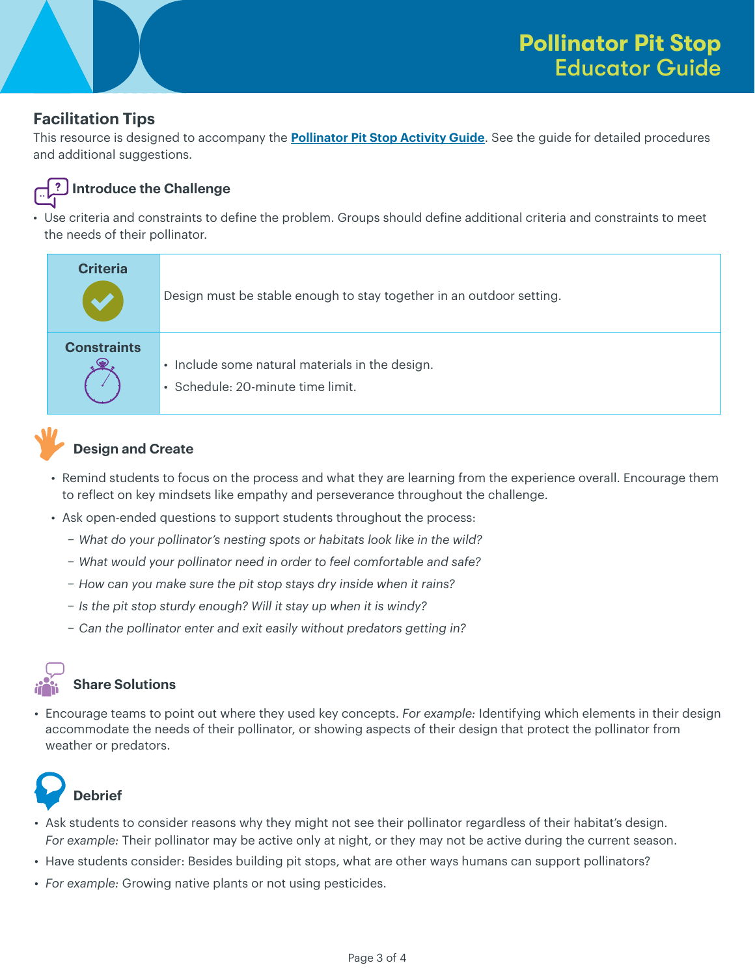## **Facilitation Tips**

This resource is designed to accompany the **[Pollinator Pit Stop Activity Guide](https://www.thetech.org/sites/default/files/ttiah-pollinatorpitstop.pdf)**. See the guide for detailed procedures and additional suggestions.



#### **Introduce the Challenge**

• Use criteria and constraints to define the problem. Groups should define additional criteria and constraints to meet the needs of their pollinator.

| <b>Criteria</b>    | Design must be stable enough to stay together in an outdoor setting.                 |
|--------------------|--------------------------------------------------------------------------------------|
| <b>Constraints</b> | • Include some natural materials in the design.<br>· Schedule: 20-minute time limit. |

## **Design and Create**

- Remind students to focus on the process and what they are learning from the experience overall. Encourage them to reflect on key mindsets like empathy and perseverance throughout the challenge.
- Ask open-ended questions to support students throughout the process:
	- − *What do your pollinator's nesting spots or habitats look like in the wild?*
	- − *What would your pollinator need in order to feel comfortable and safe?*
	- − *How can you make sure the pit stop stays dry inside when it rains?*
	- − *Is the pit stop sturdy enough? Will it stay up when it is windy?*
	- − *Can the pollinator enter and exit easily without predators getting in?*

# **Share Solutions**

• Encourage teams to point out where they used key concepts. *For example:* Identifying which elements in their design accommodate the needs of their pollinator, or showing aspects of their design that protect the pollinator from weather or predators.



# **Debrief**

- Ask students to consider reasons why they might not see their pollinator regardless of their habitat's design. *For example:* Their pollinator may be active only at night, or they may not be active during the current season.
- Have students consider: Besides building pit stops, what are other ways humans can support pollinators?
- *For example:* Growing native plants or not using pesticides.